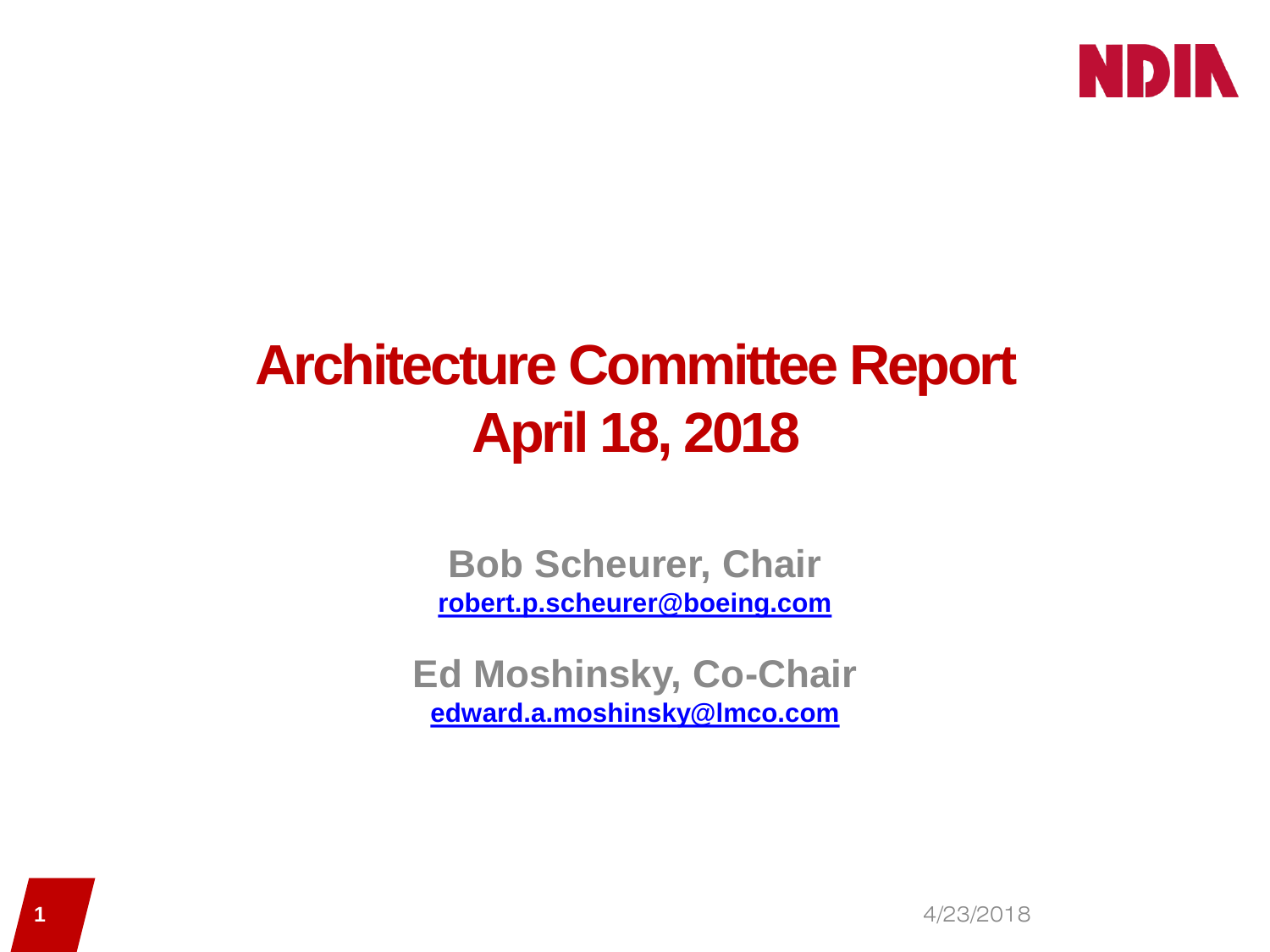

# **Architecture Committee Report April 18, 2018**

**Bob Scheurer, Chair [robert.p.scheurer@boeing.com](mailto:robert.p.scheurer@boeing.com)**

**Ed Moshinsky, Co-Chair [edward.a.moshinsky@lmco.com](mailto:edward.a.moshinsky@lmco.com)**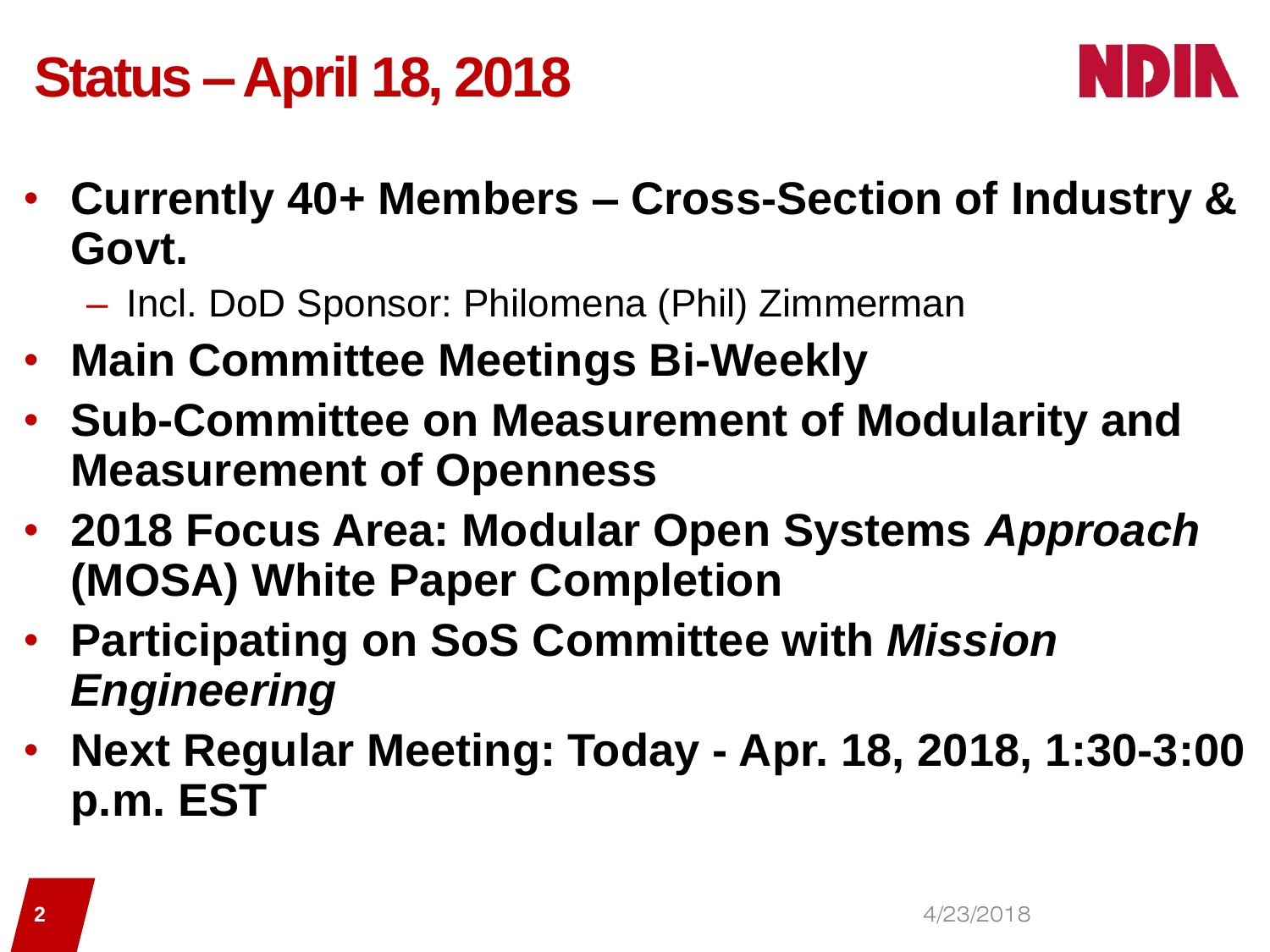## **Status –April 18, 2018**



- **Currently 40+ Members – Cross-Section of Industry & Govt.**
	- Incl. DoD Sponsor: Philomena (Phil) Zimmerman
- **Main Committee Meetings Bi-Weekly**
- **Sub-Committee on Measurement of Modularity and Measurement of Openness**
- **2018 Focus Area: Modular Open Systems** *Approach* **(MOSA) White Paper Completion**
- **Participating on SoS Committee with** *Mission Engineering*
- **Next Regular Meeting: Today - Apr. 18, 2018, 1:30-3:00 p.m. EST**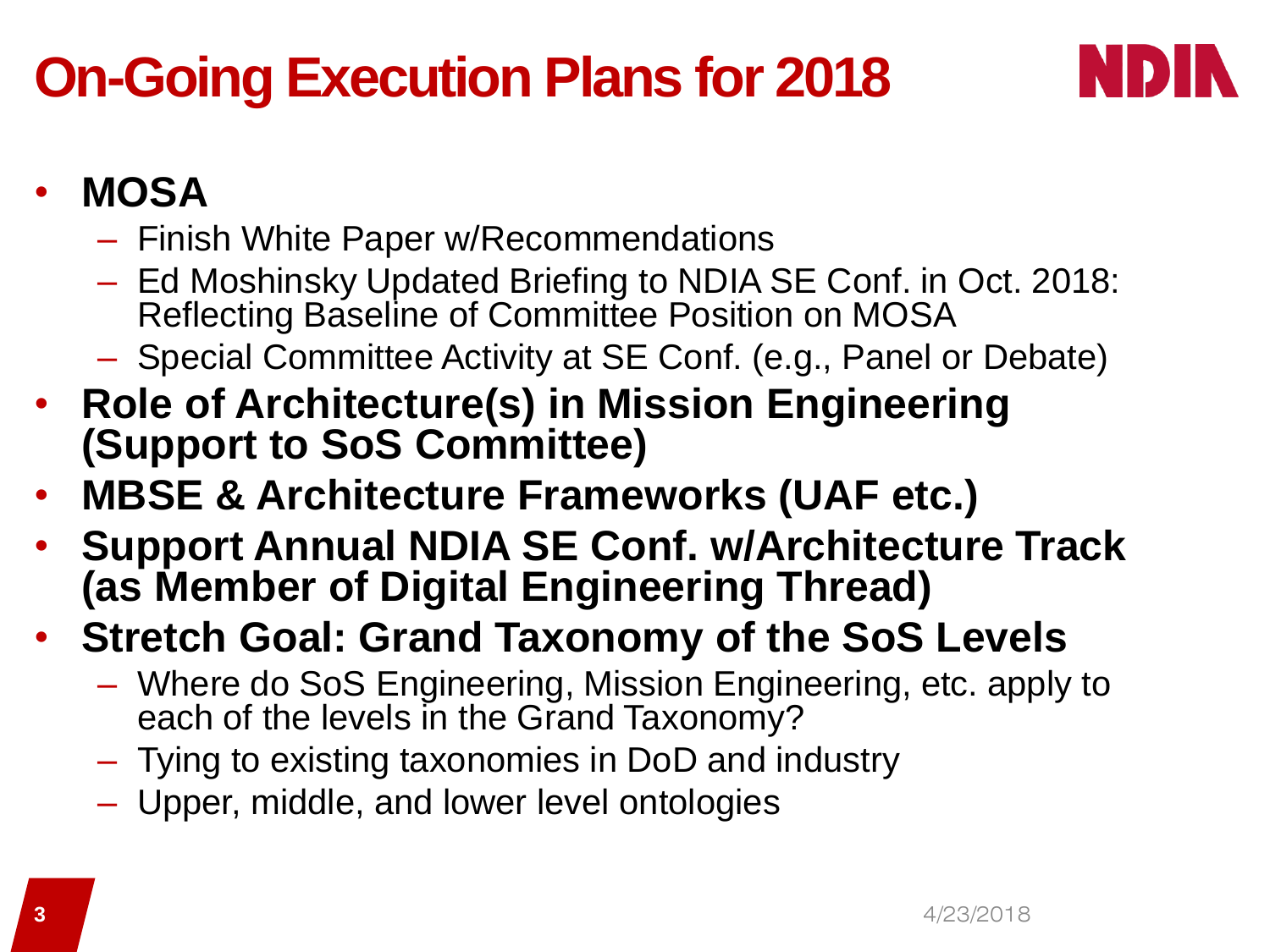# **On-Going Execution Plans for 2018**



#### • **MOSA**

- Finish White Paper w/Recommendations
- Ed Moshinsky Updated Briefing to NDIA SE Conf. in Oct. 2018: Reflecting Baseline of Committee Position on MOSA
- Special Committee Activity at SE Conf. (e.g., Panel or Debate)
- **Role of Architecture(s) in Mission Engineering (Support to SoS Committee)**
- **MBSE & Architecture Frameworks (UAF etc.)**
- **Support Annual NDIA SE Conf. w/Architecture Track (as Member of Digital Engineering Thread)**
- **Stretch Goal: Grand Taxonomy of the SoS Levels**
	- Where do SoS Engineering, Mission Engineering, etc. apply to each of the levels in the Grand Taxonomy?
	- Tying to existing taxonomies in DoD and industry
	- Upper, middle, and lower level ontologies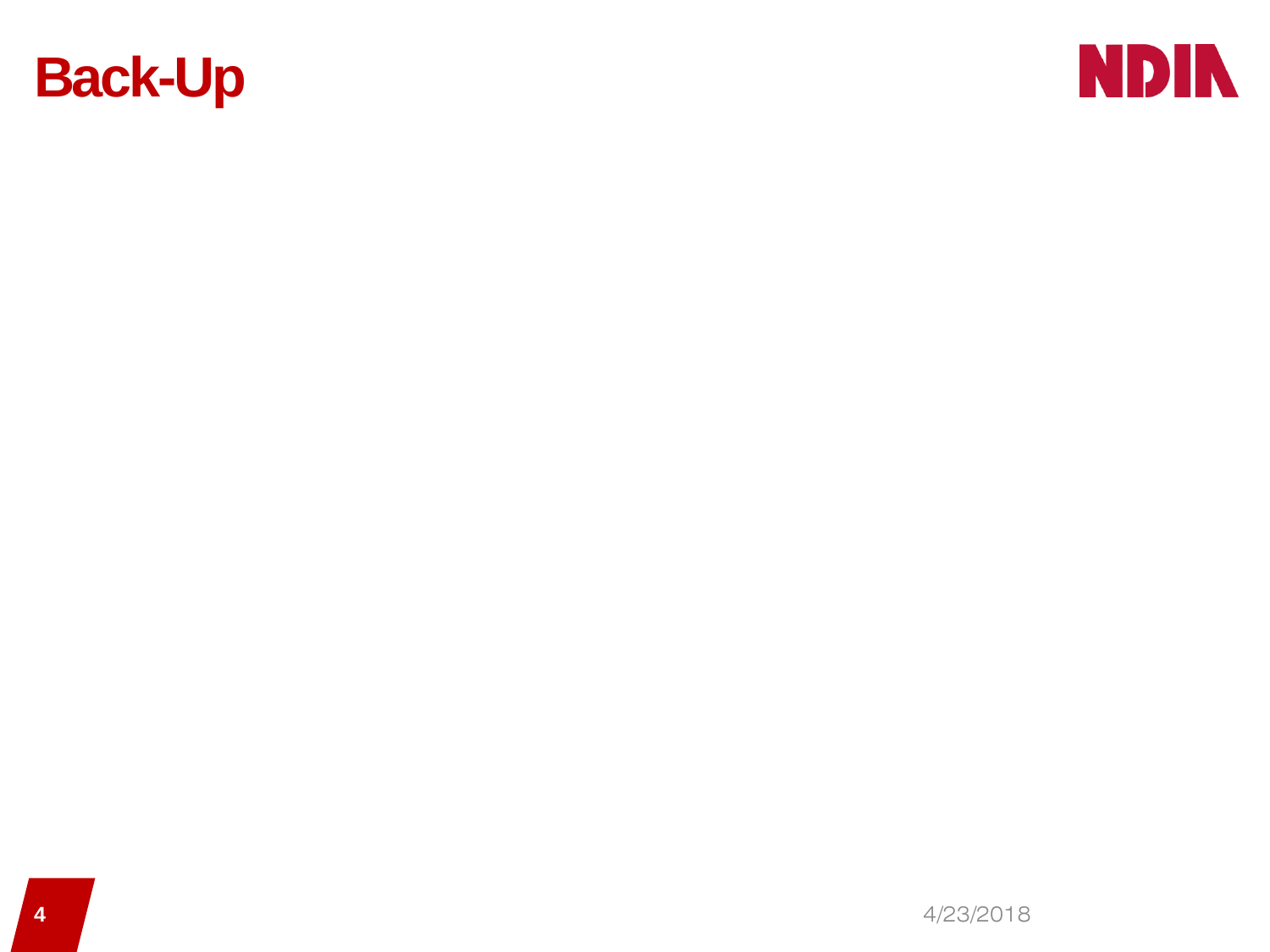

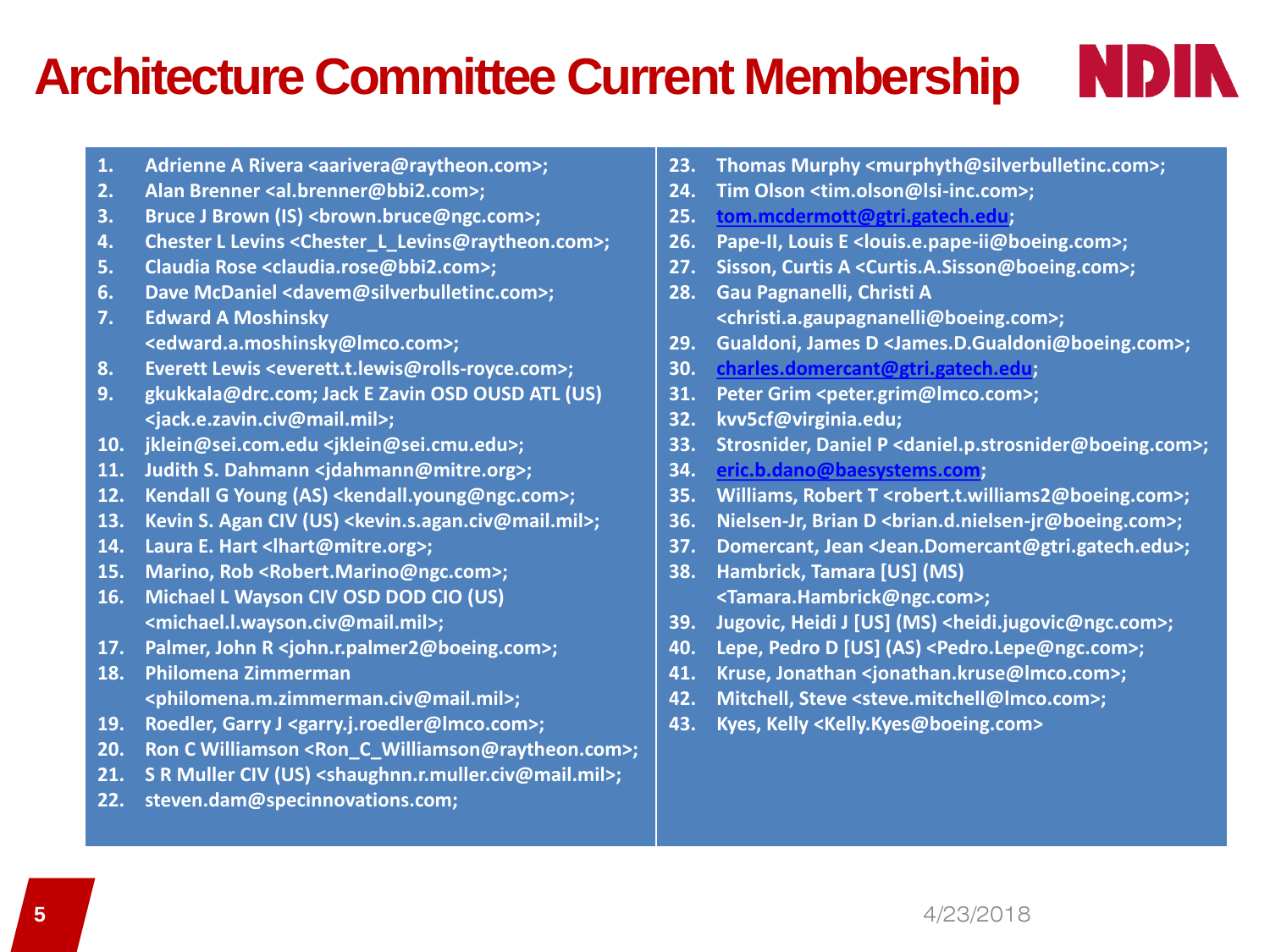### **Architecture Committee Current Membership**

- 1. **Adrienne A Rivera <aarivera@raytheon.com>;**
- **2. Alan Brenner <al.brenner@bbi2.com>;**
- **3. Bruce J Brown (IS) <brown.bruce@ngc.com>;**
- **4. Chester L Levins <Chester\_L\_Levins@raytheon.com>;**
- **5. Claudia Rose <claudia.rose@bbi2.com>;**
- **6. Dave McDaniel <davem@silverbulletinc.com>;**
- **7. Edward A Moshinsky <edward.a.moshinsky@lmco.com>;**
- **8. Everett Lewis <everett.t.lewis@rolls-royce.com>;**
- **9. gkukkala@drc.com; Jack E Zavin OSD OUSD ATL (US) <jack.e.zavin.civ@mail.mil>;**
- **10. jklein@sei.com.edu <jklein@sei.cmu.edu>;**
- **11. Judith S. Dahmann <jdahmann@mitre.org>;**
- **12. Kendall G Young (AS) <kendall.young@ngc.com>;**
- **13. Kevin S. Agan CIV (US) <kevin.s.agan.civ@mail.mil>;**
- **14. Laura E. Hart <lhart@mitre.org>;**
- **15. Marino, Rob <Robert.Marino@ngc.com>;**
- **16. Michael L Wayson CIV OSD DOD CIO (US) <michael.l.wayson.civ@mail.mil>;**
- **17. Palmer, John R <john.r.palmer2@boeing.com>;**
- **18. Philomena Zimmerman <philomena.m.zimmerman.civ@mail.mil>;**
- **19. Roedler, Garry J <garry.j.roedler@lmco.com>;**
- **20. Ron C Williamson <Ron\_C\_Williamson@raytheon.com>;**
- **21. S R Muller CIV (US) <shaughnn.r.muller.civ@mail.mil>;**
- **22. steven.dam@specinnovations.com;**

**23. Thomas Murphy <murphyth@silverbulletinc.com>;** 

NDIN

- **24. Tim Olson <tim.olson@lsi-inc.com>;**
- **25. [tom.mcdermott@gtri.gatech.edu](mailto:tom.mcdermott@gtri.gatech.edu);**
- **26. Pape-II, Louis E <louis.e.pape-ii@boeing.com>;**
- **27. Sisson, Curtis A <Curtis.A.Sisson@boeing.com>;**
- **28. Gau Pagnanelli, Christi A <christi.a.gaupagnanelli@boeing.com>;**
- **29. Gualdoni, James D <James.D.Gualdoni@boeing.com>;**
- **30. [charles.domercant@gtri.gatech.edu](mailto:charles.domercant@gtri.gatech.edu);**
- **31. Peter Grim <peter.grim@lmco.com>;**
- **32. kvv5cf@virginia.edu;**
- **33. Strosnider, Daniel P <daniel.p.strosnider@boeing.com>;**
- **34. [eric.b.dano@baesystems.com](mailto:eric.b.dano@baesystems.com);**
- **35. Williams, Robert T <robert.t.williams2@boeing.com>;**
- **36. Nielsen-Jr, Brian D <brian.d.nielsen-jr@boeing.com>;**
- **37. Domercant, Jean <Jean.Domercant@gtri.gatech.edu>;**
- **38. Hambrick, Tamara [US] (MS) <Tamara.Hambrick@ngc.com>;**
- **39. Jugovic, Heidi J [US] (MS) <heidi.jugovic@ngc.com>;**
- **40. Lepe, Pedro D [US] (AS) <Pedro.Lepe@ngc.com>;**
- **41. Kruse, Jonathan <jonathan.kruse@lmco.com>;**
- **42. Mitchell, Steve <steve.mitchell@lmco.com>;**
- **43. Kyes, Kelly <Kelly.Kyes@boeing.com>**